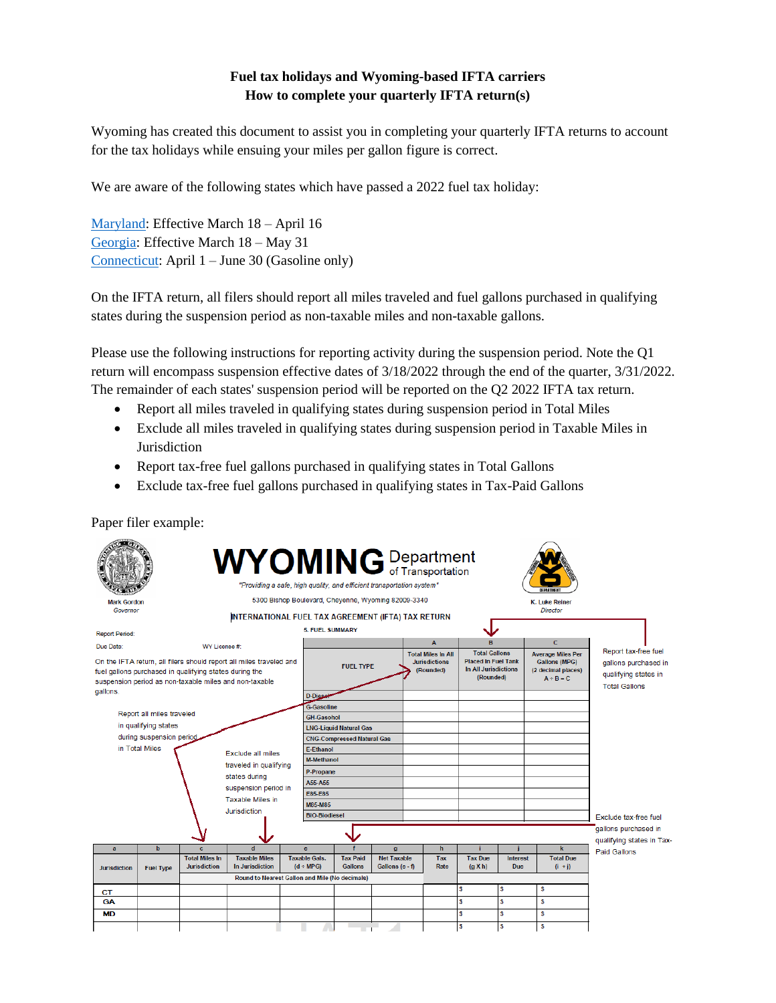## **Fuel tax holidays and Wyoming-based IFTA carriers How to complete your quarterly IFTA return(s)**

Wyoming has created this document to assist you in completing your quarterly IFTA returns to account for the tax holidays while ensuing your miles per gallon figure is correct.

We are aware of the following states which have passed a 2022 fuel tax holiday:

[Maryland:](https://www.marylandtaxes.gov/gas-tax-holiday/gas-tax-info-for-sellers.php) Effective March 18 – April 16 [Georgia:](https://dor.georgia.gov/2022-suspension-georgia-motor-fuel-taxes-faqs) Effective March 18 – May 31 [Connecticut:](https://portal.ct.gov/Office-of-the-Governor/News/Press-Releases/2022/03-2022/Governor-Lamont-Signs-Emergency-Legislation-Suspending-Excise-Tax-on-Gas-From-April-1-to-June-30) April 1 – June 30 (Gasoline only)

On the IFTA return, all filers should report all miles traveled and fuel gallons purchased in qualifying states during the suspension period as non-taxable miles and non-taxable gallons.

Please use the following instructions for reporting activity during the suspension period. Note the Q1 return will encompass suspension effective dates of 3/18/2022 through the end of the quarter, 3/31/2022. The remainder of each states' suspension period will be reported on the Q2 2022 IFTA tax return.

- Report all miles traveled in qualifying states during suspension period in Total Miles
- Exclude all miles traveled in qualifying states during suspension period in Taxable Miles in Jurisdiction
- Report tax-free fuel gallons purchased in qualifying states in Total Gallons
- Exclude tax-free fuel gallons purchased in qualifying states in Tax-Paid Gallons

Paper filer example: